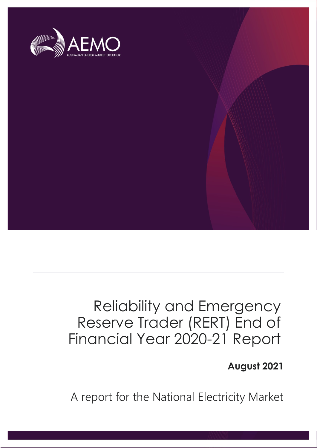

# Reliability and Emergency Reserve Trader (RERT) End of Financial Year 2020-21 Report

**August 2021**

A report for the National Electricity Market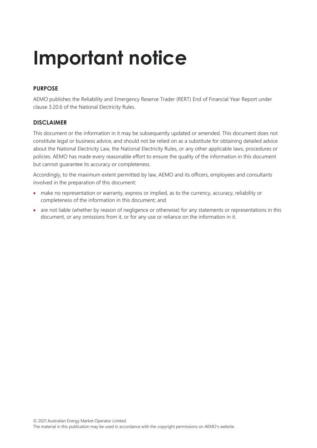# **Important notice**

### **PURPOSE**

AEMO publishes the Reliability and Emergency Reserve Trader (RERT) End of Financial Year Report under clause 3.20.6 of the National Electricity Rules.

#### **DISCLAIMER**

This document or the information in it may be subsequently updated or amended. This document does not constitute legal or business advice, and should not be relied on as a substitute for obtaining detailed advice about the National Electricity Law, the National Electricity Rules, or any other applicable laws, procedures or policies. AEMO has made every reasonable effort to ensure the quality of the information in this document but cannot guarantee its accuracy or completeness.

Accordingly, to the maximum extent permitted by law, AEMO and its officers, employees and consultants involved in the preparation of this document:

- make no representation or warranty, express or implied, as to the currency, accuracy, reliability or completeness of the information in this document; and
- are not liable (whether by reason of negligence or otherwise) for any statements or representations in this document, or any omissions from it, or for any use or reliance on the information in it.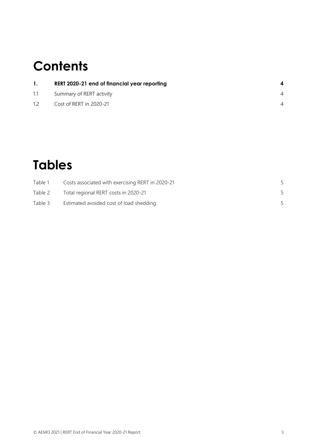# **Contents**

| $\mathbf{1}$ .  | RERT 2020-21 end of financial year reporting |  |
|-----------------|----------------------------------------------|--|
| 1.1             | Summary of RERT activity                     |  |
| 12 <sup>1</sup> | Cost of RERT in 2020-21                      |  |

## **Tables**

| Table 1 | Costs associated with exercising RERT in 2020-21 |  |
|---------|--------------------------------------------------|--|
| Table 2 | Total regional RERT costs in 2020-21             |  |
| Table 3 | Estimated avoided cost of load shedding          |  |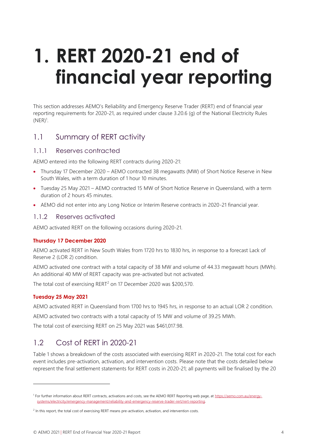# <span id="page-3-0"></span>**1. RERT 2020-21 end of financial year reporting**

This section addresses AEMO's Reliability and Emergency Reserve Trader (RERT) end of financial year reporting requirements for 2020-21, as required under clause 3.20.6 (g) of the National Electricity Rules  $(NER)^1$ .

### <span id="page-3-1"></span>1.1 Summary of RERT activity

#### 1.1.1 Reserves contracted

AEMO entered into the following RERT contracts during 2020-21:

- Thursday 17 December 2020 AEMO contracted 38 megawatts (MW) of Short Notice Reserve in New South Wales, with a term duration of 1 hour 10 minutes.
- Tuesday 25 May 2021 AEMO contracted 15 MW of Short Notice Reserve in Queensland, with a term duration of 2 hours 45 minutes.
- AEMO did not enter into any Long Notice or Interim Reserve contracts in 2020-21 financial year.

#### 1.1.2 Reserves activated

AEMO activated RERT on the following occasions during 2020-21.

#### **Thursday 17 December 2020**

AEMO activated RERT in New South Wales from 1720 hrs to 1830 hrs, in response to a forecast Lack of Reserve 2 (LOR 2) condition.

AEMO activated one contract with a total capacity of 38 MW and volume of 44.33 megawatt hours (MWh). An additional 40 MW of RERT capacity was pre-activated but not activated.

The total cost of exercising RERT<sup>2</sup> on 17 December 2020 was \$200,570.

#### **Tuesday 25 May 2021**

AEMO activated RERT in Queensland from 1700 hrs to 1945 hrs, in response to an actual LOR 2 condition.

AEMO activated two contracts with a total capacity of 15 MW and volume of 39.25 MWh.

<span id="page-3-2"></span>The total cost of exercising RERT on 25 May 2021 was \$461,017.98.

## 1.2 Cost of RERT in 2020-21

Table 1 shows a breakdown of the costs associated with exercising RERT in 2020-21. The total cost for each event includes pre-activation, activation, and intervention costs. Please note that the costs detailed below represent the final settlement statements for RERT costs in 2020-21; all payments will be finalised by the 20

<sup>&</sup>lt;sup>1</sup> For further information about RERT contracts, activations and costs, see the AEMO RERT Reporting web page, at [https://aemo.com.au/energy](https://aemo.com.au/energy-systems/electricity/emergency-management/reliability-and-emergency-reserve-trader-rert/rert-reporting)[systems/electricity/emergency-management/reliability-and-emergency-reserve-trader-rert/rert-reporting.](https://aemo.com.au/energy-systems/electricity/emergency-management/reliability-and-emergency-reserve-trader-rert/rert-reporting)

<sup>&</sup>lt;sup>2</sup> In this report, the total cost of exercising RERT means pre-activation, activation, and intervention costs.